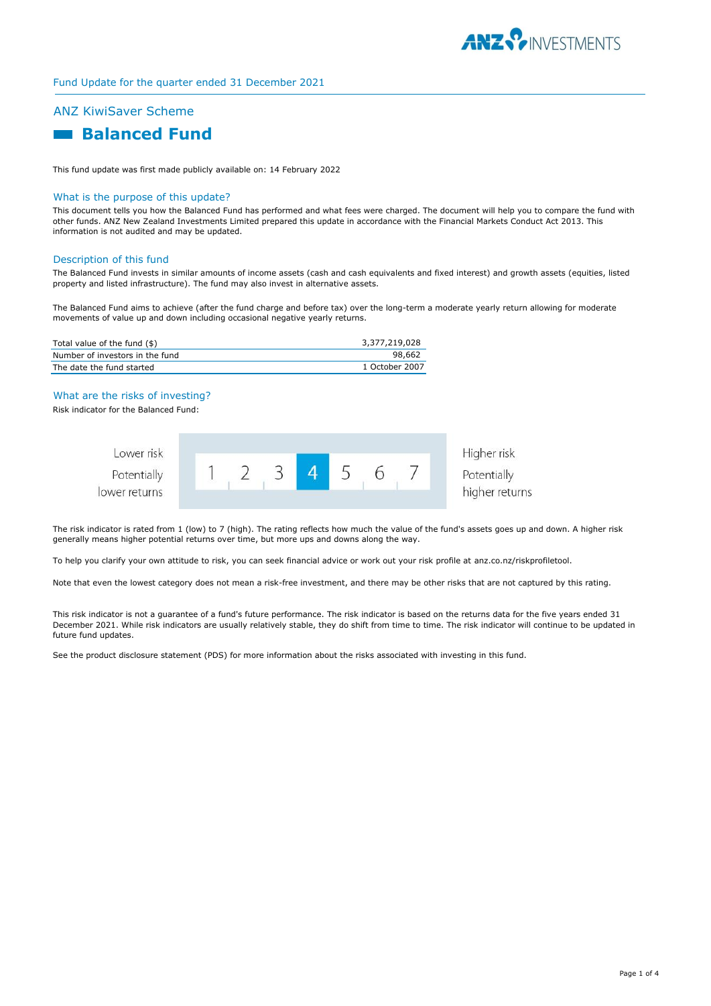

# Fund Update for the quarter ended 31 December 2021

# ANZ KiwiSaver Scheme

# **Balanced Fund**

This fund update was first made publicly available on: 14 February 2022

#### What is the purpose of this update?

This document tells you how the Balanced Fund has performed and what fees were charged. The document will help you to compare the fund with other funds. ANZ New Zealand Investments Limited prepared this update in accordance with the Financial Markets Conduct Act 2013. This information is not audited and may be updated.

#### Description of this fund

The Balanced Fund invests in similar amounts of income assets (cash and cash equivalents and fixed interest) and growth assets (equities, listed property and listed infrastructure). The fund may also invest in alternative assets.

The Balanced Fund aims to achieve (after the fund charge and before tax) over the long-term a moderate yearly return allowing for moderate movements of value up and down including occasional negative yearly returns.

| Total value of the fund (\$)    | 3,377,219,028  |
|---------------------------------|----------------|
| Number of investors in the fund | 98.662         |
| The date the fund started       | 1 October 2007 |

### What are the risks of investing?

Risk indicator for the Balanced Fund:



The risk indicator is rated from 1 (low) to 7 (high). The rating reflects how much the value of the fund's assets goes up and down. A higher risk generally means higher potential returns over time, but more ups and downs along the way.

To help you clarify your own attitude to risk, you can seek financial advice or work out your risk profile at anz.co.nz/riskprofiletool.

Note that even the lowest category does not mean a risk-free investment, and there may be other risks that are not captured by this rating.

This risk indicator is not a guarantee of a fund's future performance. The risk indicator is based on the returns data for the five years ended 31 December 2021. While risk indicators are usually relatively stable, they do shift from time to time. The risk indicator will continue to be updated in future fund updates.

See the product disclosure statement (PDS) for more information about the risks associated with investing in this fund.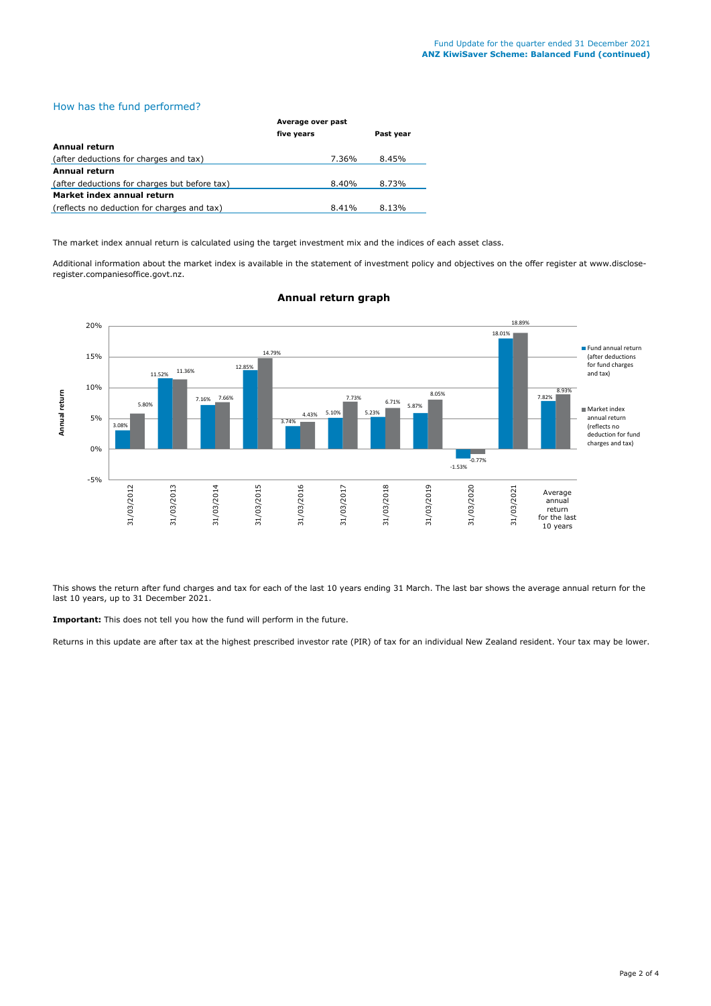# How has the fund performed?

|                                               | Average over past |           |  |
|-----------------------------------------------|-------------------|-----------|--|
|                                               | five years        | Past year |  |
| <b>Annual return</b>                          |                   |           |  |
| (after deductions for charges and tax)        | 7.36%             | 8.45%     |  |
| <b>Annual return</b>                          |                   |           |  |
| (after deductions for charges but before tax) | 8.40%             | 8.73%     |  |
| Market index annual return                    |                   |           |  |
| (reflects no deduction for charges and tax)   | 8.41%             | 8.13%     |  |

The market index annual return is calculated using the target investment mix and the indices of each asset class.

Additional information about the market index is available in the statement of investment policy and objectives on the offer register at www.discloseregister.companiesoffice.govt.nz.



## **Annual return graph**

This shows the return after fund charges and tax for each of the last 10 years ending 31 March. The last bar shows the average annual return for the last 10 years, up to 31 December 2021.

**Important:** This does not tell you how the fund will perform in the future.

Returns in this update are after tax at the highest prescribed investor rate (PIR) of tax for an individual New Zealand resident. Your tax may be lower.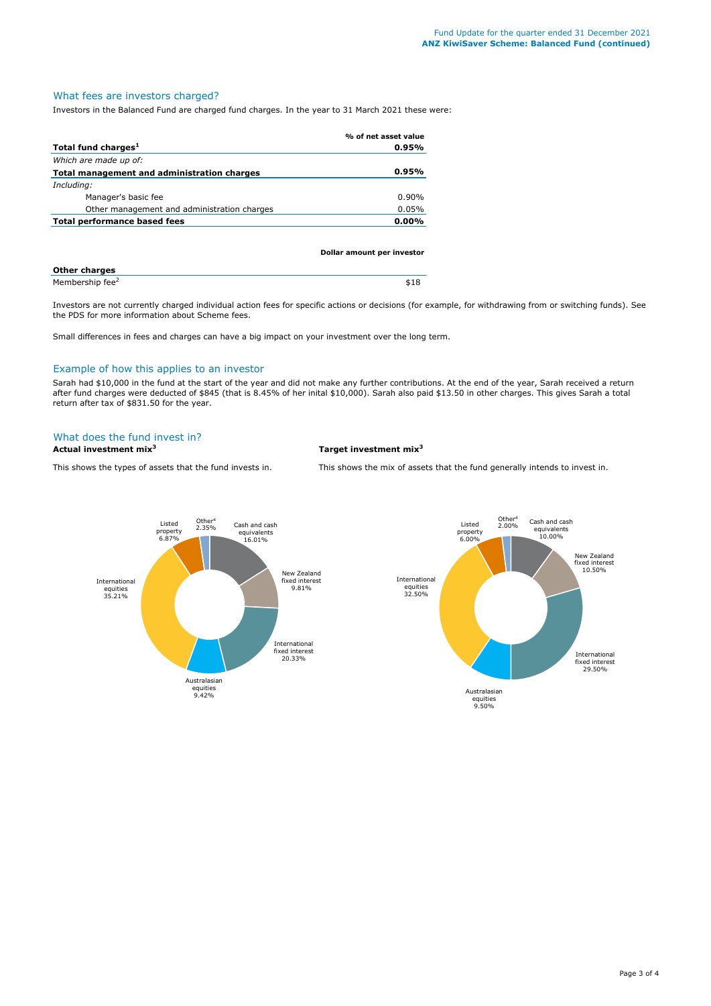# What fees are investors charged?

Investors in the Balanced Fund are charged fund charges. In the year to 31 March 2021 these were:

|                                             | % of net asset value |
|---------------------------------------------|----------------------|
| Total fund charges <sup>1</sup>             | $0.95\%$             |
| Which are made up of:                       |                      |
| Total management and administration charges | $0.95\%$             |
| Including:                                  |                      |
| Manager's basic fee                         | $0.90\%$             |
| Other management and administration charges | 0.05%                |
| <b>Total performance based fees</b>         | $0.00\%$             |
|                                             |                      |

|                             | Dollar amount per investor |
|-----------------------------|----------------------------|
| <b>Other charges</b>        |                            |
| Membership fee <sup>2</sup> | \$18                       |

Investors are not currently charged individual action fees for specific actions or decisions (for example, for withdrawing from or switching funds). See the PDS for more information about Scheme fees.

Small differences in fees and charges can have a big impact on your investment over the long term.

## Example of how this applies to an investor

Sarah had \$10,000 in the fund at the start of the year and did not make any further contributions. At the end of the year, Sarah received a return after fund charges were deducted of \$845 (that is 8.45% of her inital \$10,000). Sarah also paid \$13.50 in other charges. This gives Sarah a total return after tax of \$831.50 for the year.

# What does the fund invest in?

**Actual investment mix<sup>3</sup> Target investment mix<sup>3</sup>**

This shows the types of assets that the fund invests in. This shows the mix of assets that the fund generally intends to invest in.